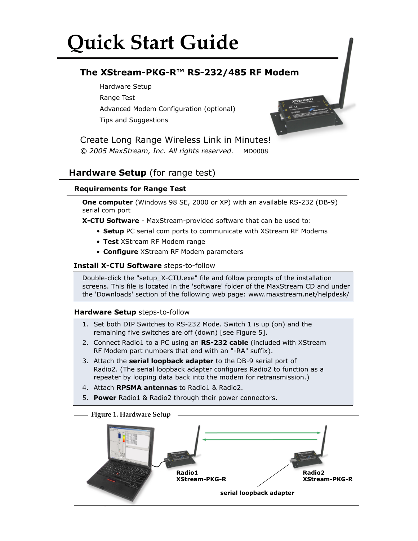# **Quick Start Guide**

# **The XStream-PKG-R™ RS-232/485 RF Modem**

Hardware Setup Range Test Advanced Modem Configuration (optional) Tips and Suggestions



*© 2005 MaxStream, Inc. All rights reserved.* MD0008 Create Long Range Wireless Link in Minutes!

# **Hardware Setup** (for range test)

## **Requirements for Range Test**

**One computer** (Windows 98 SE, 2000 or XP) with an available RS-232 (DB-9) serial com port

**X-CTU Software** - MaxStream-provided software that can be used to:

- **Setup** PC serial com ports to communicate with XStream RF Modems
- **Test** XStream RF Modem range
- **Configure** XStream RF Modem parameters

## **Install X-CTU Software** steps-to-follow

Double-click the "setup\_X-CTU.exe" file and follow prompts of the installation screens. This file is located in the 'software' folder of the MaxStream CD and under the 'Downloads' section of the following web page: www.maxstream.net/helpdesk/

## **Hardware Setup** steps-to-follow

- 1. Set both DIP Switches to RS-232 Mode. Switch 1 is up (on) and the remaining five switches are off (down) [see Figure 5].
- 2. Connect Radio1 to a PC using an **RS-232 cable** (included with XStream RF Modem part numbers that end with an "-RA" suffix).
- 3. Attach the **serial loopback adapter** to the DB-9 serial port of Radio2. (The serial loopback adapter configures Radio2 to function as a repeater by looping data back into the modem for retransmission.)
- 4. Attach **RPSMA antennas** to Radio1 & Radio2.
- 5. **Power** Radio1 & Radio2 through their power connectors.



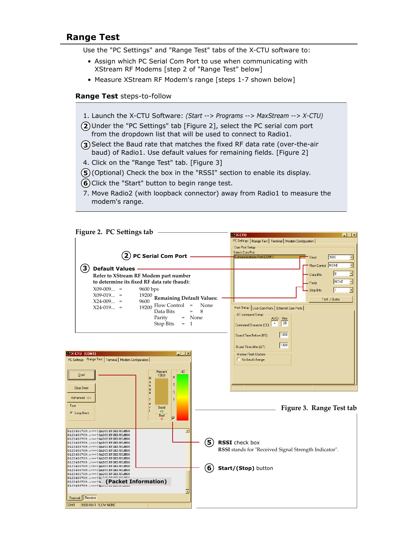# **Range Test**

Use the "PC Settings" and "Range Test" tabs of the X-CTU software to:

- Assign which PC Serial Com Port to use when communicating with XStream RF Modems [step 2 of "Range Test" below]
- Measure XStream RF Modem's range [steps 1-7 shown below]

#### **Range Test** steps-to-follow

- 1. Launch the X-CTU Software: *(Start --> Programs --> MaxStream --> X-CTU)*
- Under the "PC Settings" tab [Figure 2], select the PC serial com port **2** from the dropdown list that will be used to connect to Radio1.
- **3**) Select the Baud rate that matches the fixed RF data rate (over-the-air baud) of Radio1. Use default values for remaining fields. [Figure 2]
- 4. Click on the "Range Test" tab. [Figure 3]
- **5**) (Optional) Check the box in the "RSSI" section to enable its display.
- **6**) Click the "Start" button to begin range test.
- 7. Move Radio2 (with loopback connector) away from Radio1 to measure the modem's range.

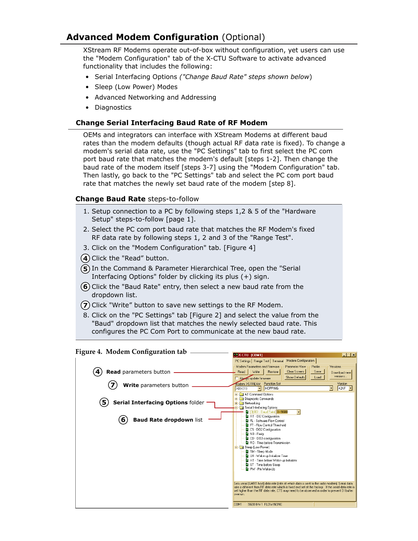# **Advanced Modem Configuration** (Optional)

XStream RF Modems operate out-of-box without configuration, yet users can use the "Modem Configuration" tab of the X-CTU Software to activate advanced functionality that includes the following:

- Serial Interfacing Options *("Change Baud Rate" steps shown below*)
- Sleep (Low Power) Modes
- Advanced Networking and Addressing
- Diagnostics

### **Change Serial Interfacing Baud Rate of RF Modem**

OEMs and integrators can interface with XStream Modems at different baud rates than the modem defaults (though actual RF data rate is fixed). To change a modem's serial data rate, use the "PC Settings" tab to first select the PC com port baud rate that matches the modem's default [steps 1-2]. Then change the baud rate of the modem itself [steps 3-7] using the "Modem Configuration" tab. Then lastly, go back to the "PC Settings" tab and select the PC com port baud rate that matches the newly set baud rate of the modem [step 8].

### **Change Baud Rate** steps-to-follow

- 1. Setup connection to a PC by following steps 1,2 & 5 of the "Hardware Setup" steps-to-follow [page 1].
- 2. Select the PC com port baud rate that matches the RF Modem's fixed RF data rate by following steps 1, 2 and 3 of the "Range Test".
- 3. Click on the "Modem Configuration" tab. [Figure 4]
- **4**) Click the "Read" button.
- **5**) In the Command & Parameter Hierarchical Tree, open the "Serial Interfacing Options" folder by clicking its plus (+) sign.
- **6**) Click the "Baud Rate" entry, then select a new baud rate from the dropdown list.
- **7**) Click "Write" button to save new settings to the RF Modem.
- 8. Click on the "PC Settings" tab [Figure 2] and select the value from the "Baud" dropdown list that matches the newly selected baud rate. This configures the PC Com Port to communicate at the new baud rate.

#### **Figure 4. Modem Configuration tab**